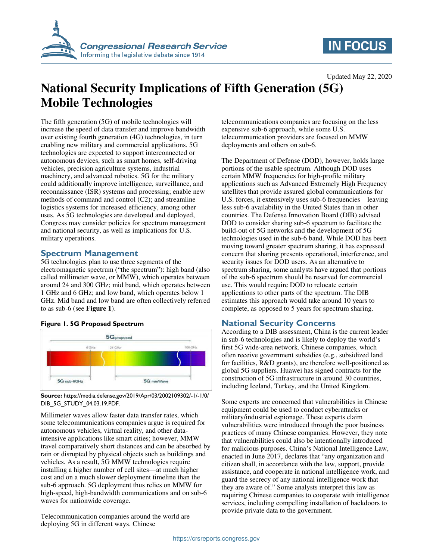

# **IN FOCUS**

Updated May 22, 2020

# **National Security Implications of Fifth Generation (5G) Mobile Technologies**

The fifth generation (5G) of mobile technologies will increase the speed of data transfer and improve bandwidth over existing fourth generation (4G) technologies, in turn enabling new military and commercial applications. 5G technologies are expected to support interconnected or autonomous devices, such as smart homes, self-driving vehicles, precision agriculture systems, industrial machinery, and advanced robotics. 5G for the military could additionally improve intelligence, surveillance, and reconnaissance (ISR) systems and processing; enable new methods of command and control (C2); and streamline logistics systems for increased efficiency, among other uses. As 5G technologies are developed and deployed, Congress may consider policies for spectrum management and national security, as well as implications for U.S. military operations.

# **Spectrum Management**

5G technologies plan to use three segments of the electromagnetic spectrum ("the spectrum"): high band (also called millimeter wave, or MMW), which operates between around 24 and 300 GHz; mid band, which operates between 1 GHz and 6 GHz; and low band, which operates below 1 GHz. Mid band and low band are often collectively referred to as sub-6 (see **[Figure 1](#page-0-0)**).



#### <span id="page-0-0"></span>**Figure 1. 5G Proposed Spectrum**

**Source:** https://media.defense.gov/2019/Apr/03/2002109302/-1/-1/0/ DIB\_5G\_STUDY\_04.03.19.PDF.

Millimeter waves allow faster data transfer rates, which some telecommunications companies argue is required for autonomous vehicles, virtual reality, and other dataintensive applications like smart cities; however, MMW travel comparatively short distances and can be absorbed by rain or disrupted by physical objects such as buildings and vehicles. As a result, 5G MMW technologies require installing a higher number of cell sites—at much higher cost and on a much slower deployment timeline than the sub-6 approach. 5G deployment thus relies on MMW for high-speed, high-bandwidth communications and on sub-6 waves for nationwide coverage.

Telecommunication companies around the world are deploying 5G in different ways. Chinese

telecommunications companies are focusing on the less expensive sub-6 approach, while some U.S. telecommunication providers are focused on MMW deployments and others on sub-6.

The Department of Defense (DOD), however, holds large portions of the usable spectrum. Although DOD uses certain MMW frequencies for high-profile military applications such as Advanced Extremely High Frequency satellites that provide assured global communications for U.S. forces, it extensively uses sub-6 frequencies—leaving less sub-6 availability in the United States than in other countries. The Defense Innovation Board (DIB) advised DOD to consider sharing sub-6 spectrum to facilitate the build-out of 5G networks and the development of 5G technologies used in the sub-6 band. While DOD has been moving toward greater spectrum sharing, it has expressed concern that sharing presents operational, interference, and security issues for DOD users. As an alternative to spectrum sharing, some analysts have argued that portions of the sub-6 spectrum should be reserved for commercial use. This would require DOD to relocate certain applications to other parts of the spectrum. The DIB estimates this approach would take around 10 years to complete, as opposed to 5 years for spectrum sharing.

# **National Security Concerns**

According to a DIB assessment, China is the current leader in sub-6 technologies and is likely to deploy the world's first 5G wide-area network. Chinese companies, which often receive government subsidies (e.g., subsidized land for facilities, R&D grants), are therefore well-positioned as global 5G suppliers. Huawei has signed contracts for the construction of 5G infrastructure in around 30 countries, including Iceland, Turkey, and the United Kingdom.

Some experts are concerned that vulnerabilities in Chinese equipment could be used to conduct cyberattacks or military/industrial espionage. These experts claim vulnerabilities were introduced through the poor business practices of many Chinese companies. However, they note that vulnerabilities could also be intentionally introduced for malicious purposes. China's National Intelligence Law, enacted in June 2017, declares that "any organization and citizen shall, in accordance with the law, support, provide assistance, and cooperate in national intelligence work, and guard the secrecy of any national intelligence work that they are aware of." Some analysts interpret this law as requiring Chinese companies to cooperate with intelligence services, including compelling installation of backdoors to provide private data to the government.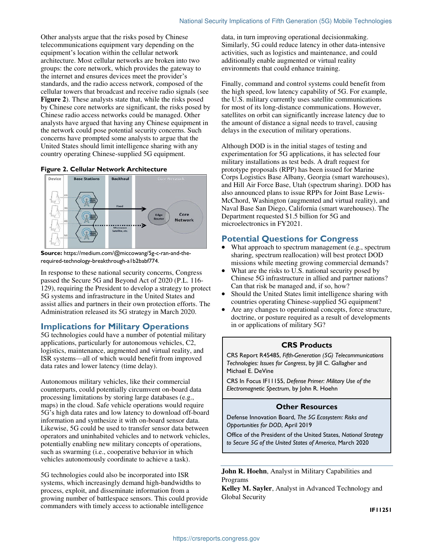Other analysts argue that the risks posed by Chinese telecommunications equipment vary depending on the equipment's location within the cellular network architecture. Most cellular networks are broken into two groups: the core network, which provides the gateway to the internet and ensures devices meet the provider's standards, and the radio access network, composed of the cellular towers that broadcast and receive radio signals (see **[Figure 2](#page-1-0)**). These analysts state that, while the risks posed by Chinese core networks are significant, the risks posed by Chinese radio access networks could be managed. Other analysts have argued that having any Chinese equipment in the network could pose potential security concerns. Such concerns have prompted some analysts to argue that the United States should limit intelligence sharing with any country operating Chinese-supplied 5G equipment.

#### <span id="page-1-0"></span>**Figure 2. Cellular Network Architecture**



**Source:** https://medium.com/@miccowang/5g-c-ran-and-therequired-technology-breakthrough-a1b2babf774.

In response to these national security concerns, Congress passed the Secure 5G and Beyond Act of 2020 (P.L. 116- 129), requiring the President to develop a strategy to protect 5G systems and infrastructure in the United States and assist allies and partners in their own protection efforts. The Administration released its 5G strategy in March 2020.

### **Implications for Military Operations**

5G technologies could have a number of potential military applications, particularly for autonomous vehicles, C2, logistics, maintenance, augmented and virtual reality, and ISR systems—all of which would benefit from improved data rates and lower latency (time delay).

Autonomous military vehicles, like their commercial counterparts, could potentially circumvent on-board data processing limitations by storing large databases (e.g., maps) in the cloud. Safe vehicle operations would require 5G's high data rates and low latency to download off-board information and synthesize it with on-board sensor data. Likewise, 5G could be used to transfer sensor data between operators and uninhabited vehicles and to network vehicles, potentially enabling new military concepts of operations, such as swarming (i.e., cooperative behavior in which vehicles autonomously coordinate to achieve a task).

5G technologies could also be incorporated into ISR systems, which increasingly demand high-bandwidths to process, exploit, and disseminate information from a growing number of battlespace sensors. This could provide commanders with timely access to actionable intelligence

data, in turn improving operational decisionmaking. Similarly, 5G could reduce latency in other data-intensive activities, such as logistics and maintenance, and could additionally enable augmented or virtual reality environments that could enhance training.

Finally, command and control systems could benefit from the high speed, low latency capability of 5G. For example, the U.S. military currently uses satellite communications for most of its long-distance communications. However, satellites on orbit can significantly increase latency due to the amount of distance a signal needs to travel, causing delays in the execution of military operations.

Although DOD is in the initial stages of testing and experimentation for 5G applications, it has selected four military installations as test beds. A draft request for prototype proposals (RPP) has been issued for Marine Corps Logistics Base Albany, Georgia (smart warehouses), and Hill Air Force Base, Utah (spectrum sharing). DOD has also announced plans to issue RPPs for Joint Base Lewis-McChord, Washington (augmented and virtual reality), and Naval Base San Diego, California (smart warehouses). The Department requested \$1.5 billion for 5G and microelectronics in FY2021.

### **Potential Questions for Congress**

- What approach to spectrum management (e.g., spectrum sharing, spectrum reallocation) will best protect DOD missions while meeting growing commercial demands?
- What are the risks to U.S. national security posed by Chinese 5G infrastructure in allied and partner nations? Can that risk be managed and, if so, how?
- Should the United States limit intelligence sharing with countries operating Chinese-supplied 5G equipment?
- Are any changes to operational concepts, force structure, doctrine, or posture required as a result of developments in or applications of military 5G?

#### **CRS Products**

CRS Report R45485, *Fifth-Generation (5G) Telecommunications Technologies: Issues for Congress*, by Jill C. Gallagher and Michael E. DeVine

CRS In Focus IF11155, *Defense Primer: Military Use of the Electromagnetic Spectrum*, by John R. Hoehn

#### **Other Resources**

Defense Innovation Board, *The 5G Ecosystem: Risks and Opportunities for DOD*, April 2019

Office of the President of the United States, *National Strategy to Secure 5G of the United States of America*, March 2020

**John R. Hoehn**, Analyst in Military Capabilities and Programs

**Kelley M. Sayler**, Analyst in Advanced Technology and Global Security